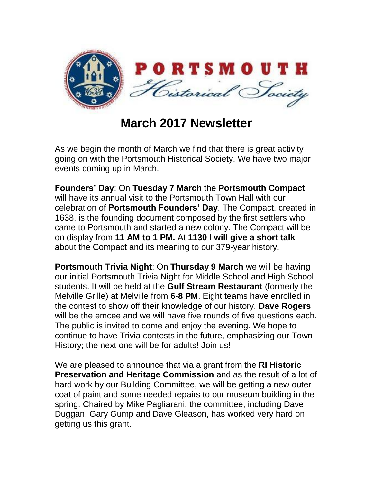

**March 2017 Newsletter**

As we begin the month of March we find that there is great activity going on with the Portsmouth Historical Society. We have two major events coming up in March.

**Founders' Day**: On **Tuesday 7 March** the **Portsmouth Compact** will have its annual visit to the Portsmouth Town Hall with our celebration of **Portsmouth Founders' Day**. The Compact, created in 1638, is the founding document composed by the first settlers who came to Portsmouth and started a new colony. The Compact will be on display from **11 AM to 1 PM.** At **1130 I will give a short talk** about the Compact and its meaning to our 379-year history.

**Portsmouth Trivia Night**: On **Thursday 9 March** we will be having our initial Portsmouth Trivia Night for Middle School and High School students. It will be held at the **Gulf Stream Restaurant** (formerly the Melville Grille) at Melville from **6-8 PM**. Eight teams have enrolled in the contest to show off their knowledge of our history. **Dave Rogers**  will be the emcee and we will have five rounds of five questions each. The public is invited to come and enjoy the evening. We hope to continue to have Trivia contests in the future, emphasizing our Town History; the next one will be for adults! Join us!

We are pleased to announce that via a grant from the **RI Historic Preservation and Heritage Commission** and as the result of a lot of hard work by our Building Committee, we will be getting a new outer coat of paint and some needed repairs to our museum building in the spring. Chaired by Mike Pagliarani, the committee, including Dave Duggan, Gary Gump and Dave Gleason, has worked very hard on getting us this grant.